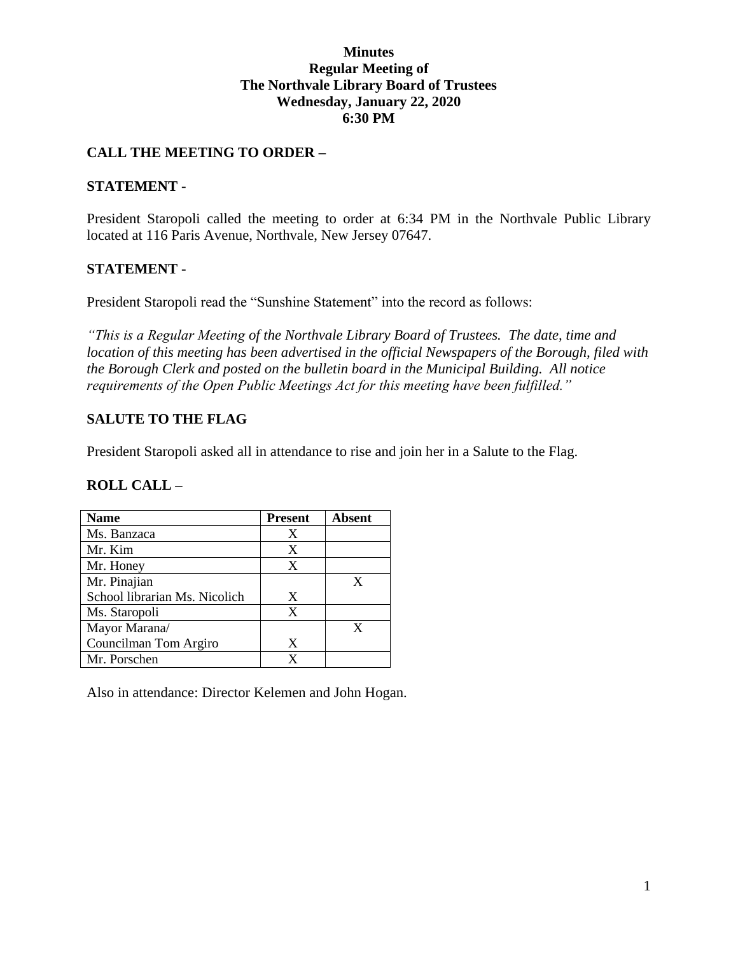## **Minutes Regular Meeting of The Northvale Library Board of Trustees Wednesday, January 22, 2020 6:30 PM**

## **CALL THE MEETING TO ORDER –**

#### **STATEMENT -**

President Staropoli called the meeting to order at 6:34 PM in the Northvale Public Library located at 116 Paris Avenue, Northvale, New Jersey 07647.

## **STATEMENT -**

President Staropoli read the "Sunshine Statement" into the record as follows:

*"This is a Regular Meeting of the Northvale Library Board of Trustees. The date, time and location of this meeting has been advertised in the official Newspapers of the Borough, filed with the Borough Clerk and posted on the bulletin board in the Municipal Building. All notice requirements of the Open Public Meetings Act for this meeting have been fulfilled."* 

## **SALUTE TO THE FLAG**

President Staropoli asked all in attendance to rise and join her in a Salute to the Flag.

#### **ROLL CALL –**

| <b>Name</b>                   | <b>Present</b> | Absent |
|-------------------------------|----------------|--------|
| Ms. Banzaca                   | X              |        |
| Mr. Kim                       | X              |        |
| Mr. Honey                     | X              |        |
| Mr. Pinajian                  |                |        |
| School librarian Ms. Nicolich | X              |        |
| Ms. Staropoli                 | X              |        |
| Mayor Marana/                 |                |        |
| Councilman Tom Argiro         | X              |        |
| Mr. Porschen                  |                |        |

Also in attendance: Director Kelemen and John Hogan.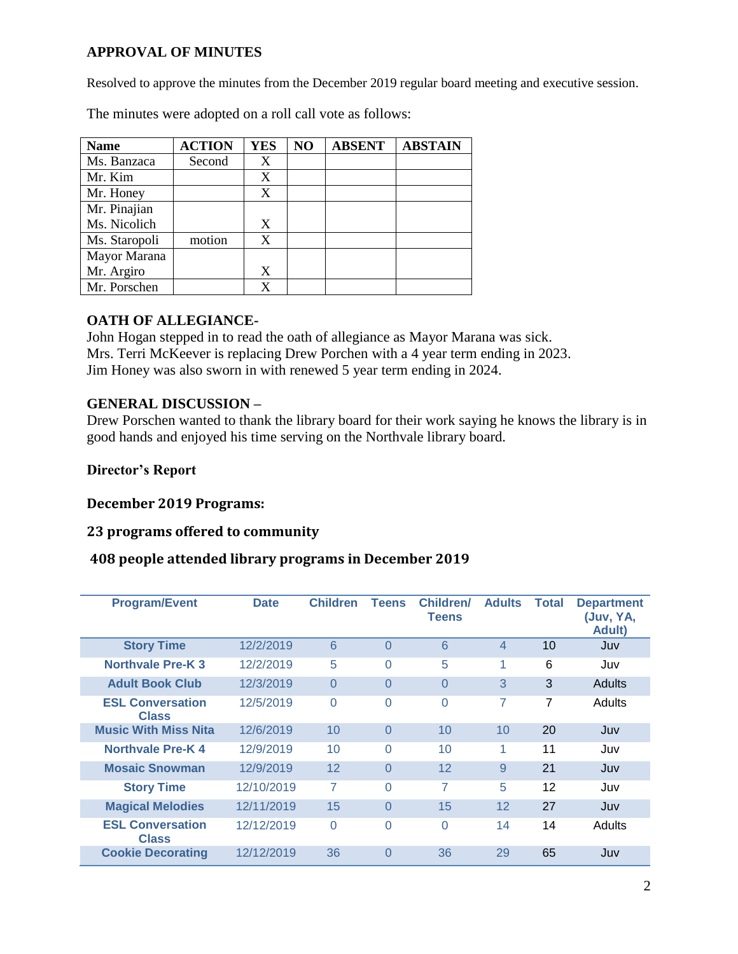## **APPROVAL OF MINUTES**

Resolved to approve the minutes from the December 2019 regular board meeting and executive session.

The minutes were adopted on a roll call vote as follows:

| <b>Name</b>   | <b>ACTION</b> | <b>YES</b> | N <sub>O</sub> | <b>ABSENT</b> | <b>ABSTAIN</b> |
|---------------|---------------|------------|----------------|---------------|----------------|
| Ms. Banzaca   | Second        | X          |                |               |                |
| Mr. Kim       |               | X          |                |               |                |
| Mr. Honey     |               | X          |                |               |                |
| Mr. Pinajian  |               |            |                |               |                |
| Ms. Nicolich  |               | X          |                |               |                |
| Ms. Staropoli | motion        | X          |                |               |                |
| Mayor Marana  |               |            |                |               |                |
| Mr. Argiro    |               | X          |                |               |                |
| Mr. Porschen  |               | X          |                |               |                |

## **OATH OF ALLEGIANCE-**

John Hogan stepped in to read the oath of allegiance as Mayor Marana was sick. Mrs. Terri McKeever is replacing Drew Porchen with a 4 year term ending in 2023. Jim Honey was also sworn in with renewed 5 year term ending in 2024.

#### **GENERAL DISCUSSION –**

Drew Porschen wanted to thank the library board for their work saying he knows the library is in good hands and enjoyed his time serving on the Northvale library board.

## **Director's Report**

## **December 2019 Programs:**

#### **23 programs offered to community**

#### **408 people attended library programs in December 2019**

| <b>Program/Event</b>                    | <b>Date</b> | <b>Children</b> | <b>Teens</b> | Children/<br><b>Teens</b> | <b>Adults</b>  | <b>Total</b> | <b>Department</b><br>(Juv. YA.<br><b>Adult</b> ) |
|-----------------------------------------|-------------|-----------------|--------------|---------------------------|----------------|--------------|--------------------------------------------------|
| <b>Story Time</b>                       | 12/2/2019   | 6               | $\Omega$     | 6                         | $\overline{4}$ | 10           | Juv                                              |
| <b>Northvale Pre-K3</b>                 | 12/2/2019   | 5               | $\Omega$     | 5                         | 1              | 6            | Juv                                              |
| <b>Adult Book Club</b>                  | 12/3/2019   | $\Omega$        | 0            | $\Omega$                  | 3              | 3            | <b>Adults</b>                                    |
| <b>ESL Conversation</b><br><b>Class</b> | 12/5/2019   | $\Omega$        | 0            | $\Omega$                  | 7              | 7            | Adults                                           |
| <b>Music With Miss Nita</b>             | 12/6/2019   | 10              | $\Omega$     | 10                        | 10             | 20           | Juv                                              |
| <b>Northvale Pre-K4</b>                 | 12/9/2019   | 10              | 0            | 10                        | 1              | 11           | Juv                                              |
| <b>Mosaic Snowman</b>                   | 12/9/2019   | 12              | $\Omega$     | 12                        | 9              | 21           | Juv                                              |
| <b>Story Time</b>                       | 12/10/2019  | 7               | $\Omega$     | 7                         | 5              | 12           | Juv                                              |
| <b>Magical Melodies</b>                 | 12/11/2019  | 15              | $\Omega$     | 15                        | 12             | 27           | Juv                                              |
| <b>ESL Conversation</b><br><b>Class</b> | 12/12/2019  | $\Omega$        | 0            | $\Omega$                  | 14             | 14           | Adults                                           |
| <b>Cookie Decorating</b>                | 12/12/2019  | 36              | $\Omega$     | 36                        | 29             | 65           | Juv                                              |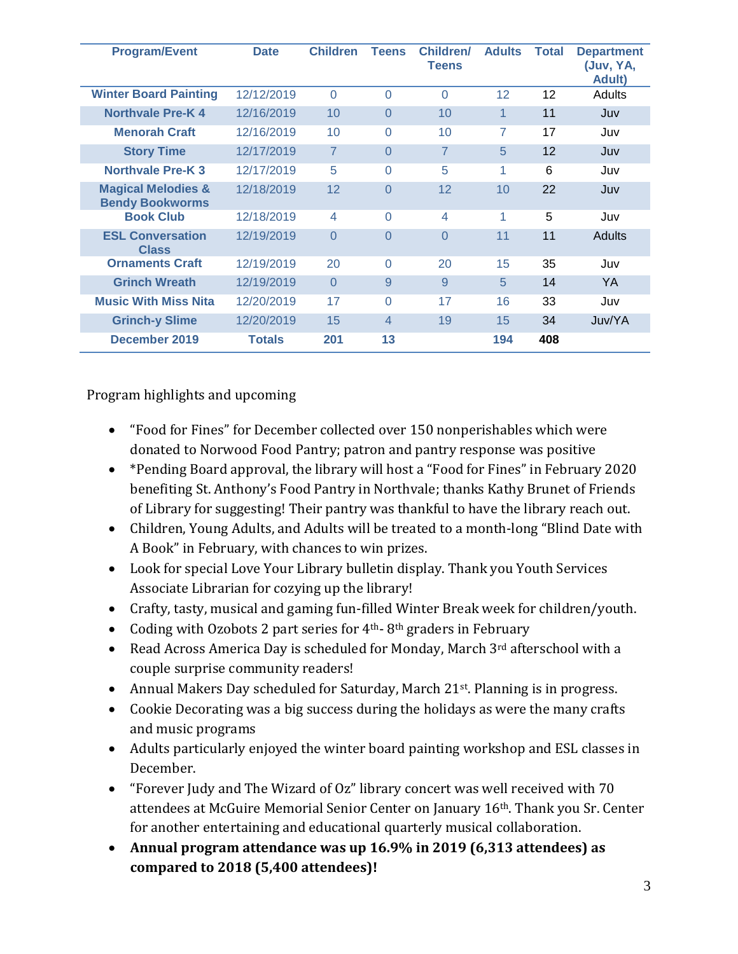| <b>Program/Event</b>                                    | <b>Date</b>   | <b>Children</b> | <b>Teens</b>   | Children/<br><b>Teens</b> | <b>Adults</b>   | Total             | <b>Department</b><br>(Juv, YA,<br>Adult) |
|---------------------------------------------------------|---------------|-----------------|----------------|---------------------------|-----------------|-------------------|------------------------------------------|
| <b>Winter Board Painting</b>                            | 12/12/2019    | $\Omega$        | $\Omega$       | $\Omega$                  | 12 <sup>2</sup> | $12 \overline{ }$ | <b>Adults</b>                            |
| <b>Northvale Pre-K4</b>                                 | 12/16/2019    | 10              | $\Omega$       | 10                        | $\mathbf{1}$    | 11                | Juv                                      |
| <b>Menorah Craft</b>                                    | 12/16/2019    | 10              | $\Omega$       | 10                        | 7               | 17                | Juv                                      |
| <b>Story Time</b>                                       | 12/17/2019    | $\overline{7}$  | $\Omega$       | $\overline{7}$            | 5               | 12                | Juv                                      |
| <b>Northvale Pre-K3</b>                                 | 12/17/2019    | 5               | $\Omega$       | 5                         | 1               | 6                 | Juv                                      |
| <b>Magical Melodies &amp;</b><br><b>Bendy Bookworms</b> | 12/18/2019    | 12              | $\Omega$       | 12                        | 10              | 22                | Juv                                      |
| <b>Book Club</b>                                        | 12/18/2019    | 4               | $\Omega$       | 4                         | 1               | 5                 | Juv                                      |
| <b>ESL Conversation</b><br><b>Class</b>                 | 12/19/2019    | $\Omega$        | $\Omega$       | $\Omega$                  | 11              | 11                | Adults                                   |
| <b>Ornaments Craft</b>                                  | 12/19/2019    | 20              | $\Omega$       | 20                        | 15              | 35                | Juv                                      |
| <b>Grinch Wreath</b>                                    | 12/19/2019    | $\Omega$        | 9              | 9                         | 5               | 14                | YA                                       |
| <b>Music With Miss Nita</b>                             | 12/20/2019    | 17              | $\Omega$       | 17                        | 16              | 33                | Juv                                      |
| <b>Grinch-y Slime</b>                                   | 12/20/2019    | 15              | $\overline{4}$ | 19                        | 15              | 34                | Juv/YA                                   |
| December 2019                                           | <b>Totals</b> | 201             | 13             |                           | 194             | 408               |                                          |

Program highlights and upcoming

- "Food for Fines" for December collected over 150 nonperishables which were donated to Norwood Food Pantry; patron and pantry response was positive
- \*Pending Board approval, the library will host a "Food for Fines" in February 2020 benefiting St. Anthony's Food Pantry in Northvale; thanks Kathy Brunet of Friends of Library for suggesting! Their pantry was thankful to have the library reach out.
- Children, Young Adults, and Adults will be treated to a month-long "Blind Date with A Book" in February, with chances to win prizes.
- Look for special Love Your Library bulletin display. Thank you Youth Services Associate Librarian for cozying up the library!
- Crafty, tasty, musical and gaming fun-filled Winter Break week for children/youth.
- Coding with Ozobots 2 part series for 4<sup>th</sup>-8<sup>th</sup> graders in February
- Read Across America Day is scheduled for Monday, March 3rd afterschool with a couple surprise community readers!
- Annual Makers Day scheduled for Saturday, March 21st. Planning is in progress.
- Cookie Decorating was a big success during the holidays as were the many crafts and music programs
- Adults particularly enjoyed the winter board painting workshop and ESL classes in December.
- "Forever Judy and The Wizard of Oz" library concert was well received with 70 attendees at McGuire Memorial Senior Center on January 16th. Thank you Sr. Center for another entertaining and educational quarterly musical collaboration.
- **Annual program attendance was up 16.9% in 2019 (6,313 attendees) as compared to 2018 (5,400 attendees)!**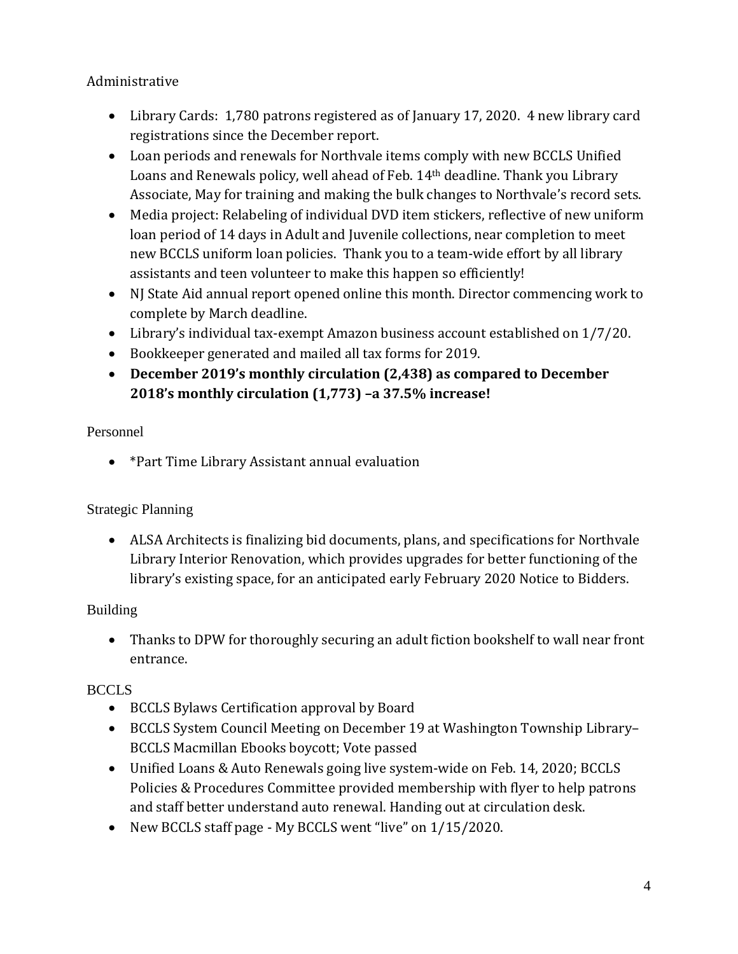Administrative

- Library Cards: 1,780 patrons registered as of January 17, 2020. 4 new library card registrations since the December report.
- Loan periods and renewals for Northvale items comply with new BCCLS Unified Loans and Renewals policy, well ahead of Feb. 14th deadline. Thank you Library Associate, May for training and making the bulk changes to Northvale's record sets.
- Media project: Relabeling of individual DVD item stickers, reflective of new uniform loan period of 14 days in Adult and Juvenile collections, near completion to meet new BCCLS uniform loan policies. Thank you to a team-wide effort by all library assistants and teen volunteer to make this happen so efficiently!
- NJ State Aid annual report opened online this month. Director commencing work to complete by March deadline.
- Library's individual tax-exempt Amazon business account established on 1/7/20.
- Bookkeeper generated and mailed all tax forms for 2019.
- **December 2019's monthly circulation (2,438) as compared to December 2018's monthly circulation (1,773) –a 37.5% increase!**

# Personnel

\*Part Time Library Assistant annual evaluation

# Strategic Planning

 ALSA Architects is finalizing bid documents, plans, and specifications for Northvale Library Interior Renovation, which provides upgrades for better functioning of the library's existing space, for an anticipated early February 2020 Notice to Bidders.

## Building

 Thanks to DPW for thoroughly securing an adult fiction bookshelf to wall near front entrance.

# **BCCLS**

- BCCLS Bylaws Certification approval by Board
- BCCLS System Council Meeting on December 19 at Washington Township Library– BCCLS Macmillan Ebooks boycott; Vote passed
- Unified Loans & Auto Renewals going live system-wide on Feb. 14, 2020; BCCLS Policies & Procedures Committee provided membership with flyer to help patrons and staff better understand auto renewal. Handing out at circulation desk.
- New BCCLS staff page My BCCLS went "live" on 1/15/2020.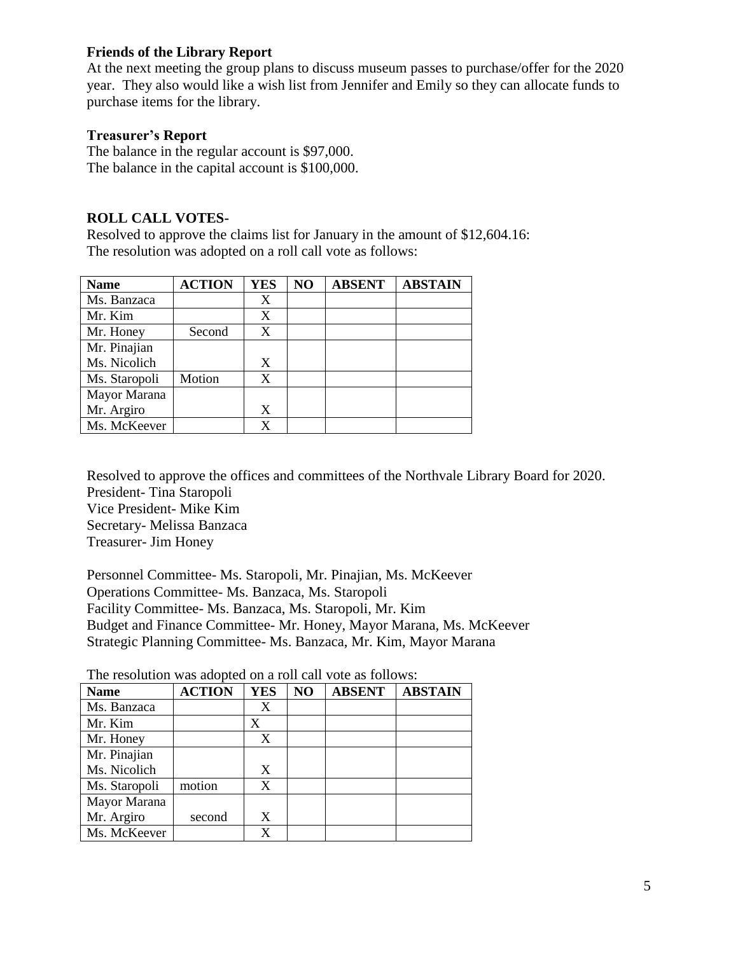### **Friends of the Library Report**

At the next meeting the group plans to discuss museum passes to purchase/offer for the 2020 year. They also would like a wish list from Jennifer and Emily so they can allocate funds to purchase items for the library.

#### **Treasurer's Report**

The balance in the regular account is \$97,000. The balance in the capital account is \$100,000.

## **ROLL CALL VOTES-**

Resolved to approve the claims list for January in the amount of \$12,604.16: The resolution was adopted on a roll call vote as follows:

| <b>Name</b>   | <b>ACTION</b> | <b>YES</b> | NO | <b>ABSENT</b> | <b>ABSTAIN</b> |
|---------------|---------------|------------|----|---------------|----------------|
| Ms. Banzaca   |               | X          |    |               |                |
| Mr. Kim       |               | X          |    |               |                |
| Mr. Honey     | Second        | X          |    |               |                |
| Mr. Pinajian  |               |            |    |               |                |
| Ms. Nicolich  |               | X          |    |               |                |
| Ms. Staropoli | Motion        | X          |    |               |                |
| Mayor Marana  |               |            |    |               |                |
| Mr. Argiro    |               | X          |    |               |                |
| Ms. McKeever  |               |            |    |               |                |

Resolved to approve the offices and committees of the Northvale Library Board for 2020. President- Tina Staropoli Vice President- Mike Kim Secretary- Melissa Banzaca Treasurer- Jim Honey

Personnel Committee- Ms. Staropoli, Mr. Pinajian, Ms. McKeever Operations Committee- Ms. Banzaca, Ms. Staropoli Facility Committee- Ms. Banzaca, Ms. Staropoli, Mr. Kim Budget and Finance Committee- Mr. Honey, Mayor Marana, Ms. McKeever Strategic Planning Committee- Ms. Banzaca, Mr. Kim, Mayor Marana

| <b>Name</b>   | <b>ACTION</b> | <b>YES</b> | NO | <b>ABSENT</b> | <b>ABSTAIN</b> |
|---------------|---------------|------------|----|---------------|----------------|
| Ms. Banzaca   |               | X          |    |               |                |
| Mr. Kim       |               | X          |    |               |                |
| Mr. Honey     |               | X          |    |               |                |
| Mr. Pinajian  |               |            |    |               |                |
| Ms. Nicolich  |               | X          |    |               |                |
| Ms. Staropoli | motion        | X          |    |               |                |
| Mayor Marana  |               |            |    |               |                |
| Mr. Argiro    | second        | X          |    |               |                |
| Ms. McKeever  |               | X          |    |               |                |

The resolution was adopted on a roll call vote as follows: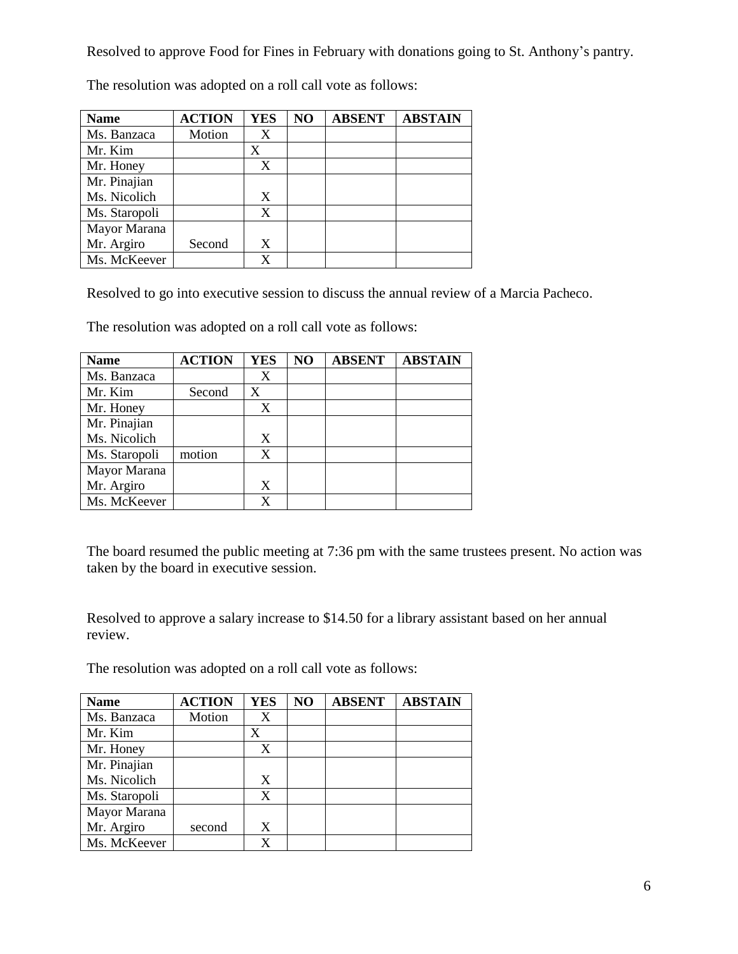Resolved to approve Food for Fines in February with donations going to St. Anthony's pantry.

| <b>Name</b>   | <b>ACTION</b> | <b>YES</b> | NO | <b>ABSENT</b> | <b>ABSTAIN</b> |
|---------------|---------------|------------|----|---------------|----------------|
| Ms. Banzaca   | Motion        | X          |    |               |                |
| Mr. Kim       |               | X          |    |               |                |
| Mr. Honey     |               | X          |    |               |                |
| Mr. Pinajian  |               |            |    |               |                |
| Ms. Nicolich  |               | X          |    |               |                |
| Ms. Staropoli |               | X          |    |               |                |
| Mayor Marana  |               |            |    |               |                |
| Mr. Argiro    | Second        | X          |    |               |                |
| Ms. McKeever  |               | X          |    |               |                |

The resolution was adopted on a roll call vote as follows:

Resolved to go into executive session to discuss the annual review of a Marcia Pacheco.

The resolution was adopted on a roll call vote as follows:

| <b>Name</b>   | <b>ACTION</b> | <b>YES</b> | NO | <b>ABSENT</b> | <b>ABSTAIN</b> |
|---------------|---------------|------------|----|---------------|----------------|
| Ms. Banzaca   |               | X          |    |               |                |
| Mr. Kim       | Second        | X          |    |               |                |
| Mr. Honey     |               | X          |    |               |                |
| Mr. Pinajian  |               |            |    |               |                |
| Ms. Nicolich  |               | X          |    |               |                |
| Ms. Staropoli | motion        | X          |    |               |                |
| Mayor Marana  |               |            |    |               |                |
| Mr. Argiro    |               | X          |    |               |                |
| Ms. McKeever  |               | X          |    |               |                |

The board resumed the public meeting at 7:36 pm with the same trustees present. No action was taken by the board in executive session.

Resolved to approve a salary increase to \$14.50 for a library assistant based on her annual review.

The resolution was adopted on a roll call vote as follows:

| <b>Name</b>   | <b>ACTION</b> | <b>YES</b> | NO | <b>ABSENT</b> | <b>ABSTAIN</b> |
|---------------|---------------|------------|----|---------------|----------------|
| Ms. Banzaca   | Motion        | X          |    |               |                |
| Mr. Kim       |               | X          |    |               |                |
| Mr. Honey     |               | X          |    |               |                |
| Mr. Pinajian  |               |            |    |               |                |
| Ms. Nicolich  |               | X          |    |               |                |
| Ms. Staropoli |               | X          |    |               |                |
| Mayor Marana  |               |            |    |               |                |
| Mr. Argiro    | second        | X          |    |               |                |
| Ms. McKeever  |               |            |    |               |                |